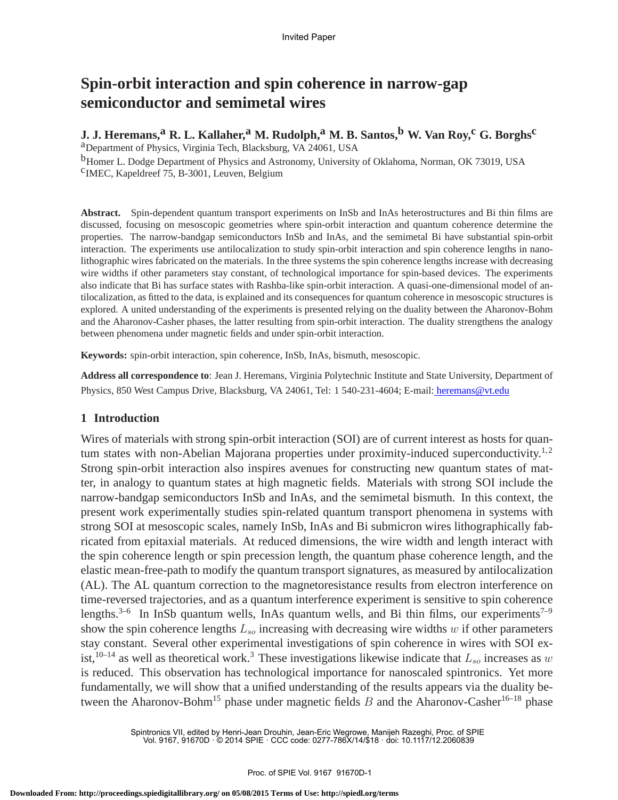## **Spin-orbit interaction and spin coherence in narrow-gap semiconductor and semimetal wires**

#### **J. J. Heremans,a R. L. Kallaher,a M. Rudolph,a M. B. Santos,b W. Van Roy,c G. Borghsc** aDepartment of Physics, Virginia Tech, Blacksburg, VA 24061, USA

<sup>b</sup>Homer L. Dodge Department of Physics and Astronomy, University of Oklahoma, Norman, OK 73019, USA c IMEC, Kapeldreef 75, B-3001, Leuven, Belgium

**Abstract.** Spin-dependent quantum transport experiments on InSb and InAs heterostructures and Bi thin films are discussed, focusing on mesoscopic geometries where spin-orbit interaction and quantum coherence determine the properties. The narrow-bandgap semiconductors InSb and InAs, and the semimetal Bi have substantial spin-orbit interaction. The experiments use antilocalization to study spin-orbit interaction and spin coherence lengths in nanolithographic wires fabricated on the materials. In the three systems the spin coherence lengths increase with decreasing wire widths if other parameters stay constant, of technological importance for spin-based devices. The experiments also indicate that Bi has surface states with Rashba-like spin-orbit interaction. A quasi-one-dimensional model of antilocalization, as fitted to the data, is explained and its consequences for quantum coherence in mesoscopic structures is explored. A united understanding of the experiments is presented relying on the duality between the Aharonov-Bohm and the Aharonov-Casher phases, the latter resulting from spin-orbit interaction. The duality strengthens the analogy between phenomena under magnetic fields and under spin-orbit interaction.

**Keywords:** spin-orbit interaction, spin coherence, InSb, InAs, bismuth, mesoscopic.

**Address all correspondence to**: Jean J. Heremans, Virginia Polytechnic Institute and State University, Department of Physics, 850 West Campus Drive, Blacksburg, VA 24061, Tel: 1 540-231-4604; E-mail: heremans@vt.edu

### **1 Introduction**

Wires of materials with strong spin-orbit interaction (SOI) are of current interest as hosts for quantum states with non-Abelian Majorana properties under proximity-induced superconductivity.<sup>1,2</sup> Strong spin-orbit interaction also inspires avenues for constructing new quantum states of matter, in analogy to quantum states at high magnetic fields. Materials with strong SOI include the narrow-bandgap semiconductors InSb and InAs, and the semimetal bismuth. In this context, the present work experimentally studies spin-related quantum transport phenomena in systems with strong SOI at mesoscopic scales, namely InSb, InAs and Bi submicron wires lithographically fabricated from epitaxial materials. At reduced dimensions, the wire width and length interact with the spin coherence length or spin precession length, the quantum phase coherence length, and the elastic mean-free-path to modify the quantum transport signatures, as measured by antilocalization (AL). The AL quantum correction to the magnetoresistance results from electron interference on time-reversed trajectories, and as a quantum interference experiment is sensitive to spin coherence lengths.<sup>3–6</sup> In InSb quantum wells, InAs quantum wells, and Bi thin films, our experiments<sup>7–9</sup> show the spin coherence lengths  $L_{so}$  increasing with decreasing wire widths w if other parameters stay constant. Several other experimental investigations of spin coherence in wires with SOI exist,<sup>10–14</sup> as well as theoretical work.<sup>3</sup> These investigations likewise indicate that  $L_{so}$  increases as w is reduced. This observation has technological importance for nanoscaled spintronics. Yet more fundamentally, we will show that a unified understanding of the results appears via the duality between the Aharonov-Bohm<sup>15</sup> phase under magnetic fields B and the Aharonov-Casher<sup>16–18</sup> phase

> Spintronics VII, edited by Henri-Jean Drouhin, Jean-Eric Wegrowe, Manijeh Razeghi, Proc. of SPIE Vol. 9167, 91670D · © 2014 SPIE · CCC code: 0277-786X/14/\$18 · doi: 10.1117/12.2060839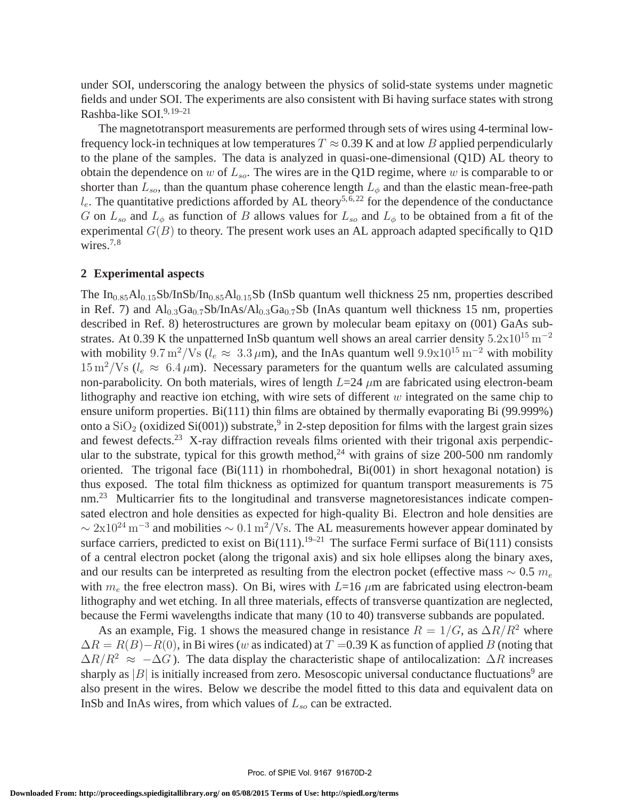under SOI, underscoring the analogy between the physics of solid-state systems under magnetic fields and under SOI. The experiments are also consistent with Bi having surface states with strong Rashba-like SOI.9, 19–21

The magnetotransport measurements are performed through sets of wires using 4-terminal lowfrequency lock-in techniques at low temperatures  $T \approx 0.39$  K and at low B applied perpendicularly to the plane of the samples. The data is analyzed in quasi-one-dimensional (Q1D) AL theory to obtain the dependence on w of  $L_{so}$ . The wires are in the Q1D regime, where w is comparable to or shorter than  $L_{so}$ , than the quantum phase coherence length  $L_{\phi}$  and than the elastic mean-free-path  $l_e$ . The quantitative predictions afforded by AL theory<sup>5,6,22</sup> for the dependence of the conductance G on  $L_{so}$  and  $L_{\phi}$  as function of B allows values for  $L_{so}$  and  $L_{\phi}$  to be obtained from a fit of the experimental  $G(B)$  to theory. The present work uses an AL approach adapted specifically to Q1D wires. $7,8$ 

#### **2 Experimental aspects**

The  $In<sub>0.85</sub>Al<sub>0.15</sub>Sb/InSb/In<sub>0.85</sub>Al<sub>0.15</sub>Sb$  (InSb quantum well thickness 25 nm, properties described in Ref. 7) and  $Al_{0.3}Ga_{0.7}Sb/InAs/Al_{0.3}Ga_{0.7}Sb$  (InAs quantum well thickness 15 nm, properties described in Ref. 8) heterostructures are grown by molecular beam epitaxy on (001) GaAs substrates. At 0.39 K the unpatterned InSb quantum well shows an areal carrier density  $5.2 \times 10^{15}$  m<sup>-2</sup> with mobility  $9.7 \text{ m}^2/\text{Vs}$  ( $l_e \approx 3.3 \mu \text{m}$ ), and the InAs quantum well  $9.9 \times 10^{15} \text{ m}^{-2}$  with mobility  $15 \text{ m}^2/\text{Vs}$  ( $l_e \approx 6.4 \mu \text{m}$ ). Necessary parameters for the quantum wells are calculated assuming non-parabolicity. On both materials, wires of length  $L=24 \mu m$  are fabricated using electron-beam lithography and reactive ion etching, with wire sets of different  $w$  integrated on the same chip to ensure uniform properties. Bi(111) thin films are obtained by thermally evaporating Bi (99.999%) onto a  $SiO<sub>2</sub>$  (oxidized  $Si(001)$ ) substrate,<sup>9</sup> in 2-step deposition for films with the largest grain sizes and fewest defects.<sup>23</sup> X-ray diffraction reveals films oriented with their trigonal axis perpendicular to the substrate, typical for this growth method,<sup>24</sup> with grains of size 200-500 nm randomly oriented. The trigonal face  $(Bi(111)$  in rhombohedral,  $Bi(001)$  in short hexagonal notation) is thus exposed. The total film thickness as optimized for quantum transport measurements is 75 nm.<sup>23</sup> Multicarrier fits to the longitudinal and transverse magnetoresistances indicate compensated electron and hole densities as expected for high-quality Bi. Electron and hole densities are  $\sim 2x10^{24} \,\mathrm{m}^{-3}$  and mobilities  $\sim 0.1 \,\mathrm{m}^2/\mathrm{Vs}$ . The AL measurements however appear dominated by surface carriers, predicted to exist on  $Bi(111).<sup>19–21</sup>$  The surface Fermi surface of Bi(111) consists of a central electron pocket (along the trigonal axis) and six hole ellipses along the binary axes, and our results can be interpreted as resulting from the electron pocket (effective mass  $\sim 0.5$   $m_e$ ) with  $m_e$  the free electron mass). On Bi, wires with L=16  $\mu$ m are fabricated using electron-beam lithography and wet etching. In all three materials, effects of transverse quantization are neglected, because the Fermi wavelengths indicate that many (10 to 40) transverse subbands are populated.

As an example, Fig. 1 shows the measured change in resistance  $R = 1/G$ , as  $\Delta R/R^2$  where  $\Delta R = R(B) - R(0)$ , in Bi wires (w as indicated) at  $T = 0.39$  K as function of applied B (noting that  $\Delta R/R^2 \approx -\Delta G$ ). The data display the characteristic shape of antilocalization:  $\Delta R$  increases sharply as  $|B|$  is initially increased from zero. Mesoscopic universal conductance fluctuations<sup>9</sup> are also present in the wires. Below we describe the model fitted to this data and equivalent data on InSb and InAs wires, from which values of  $L_{so}$  can be extracted.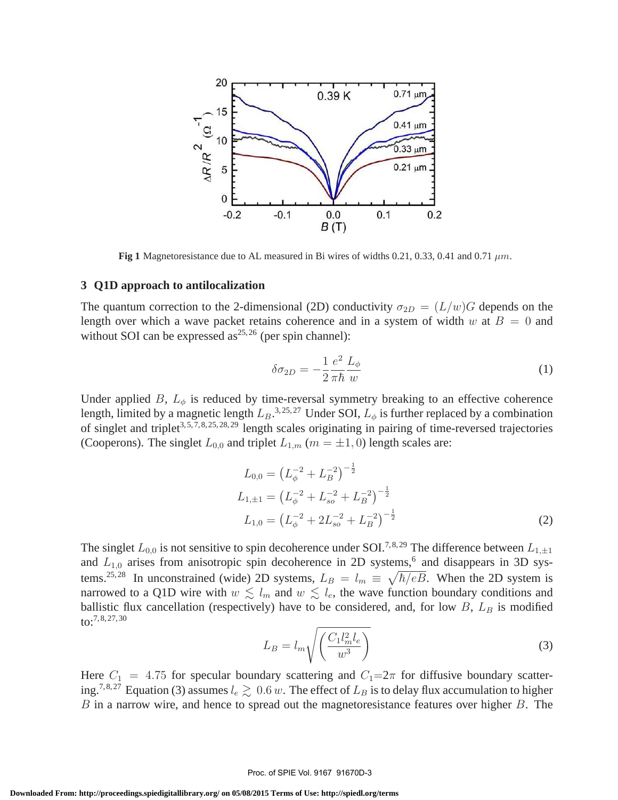

**Fig 1** Magnetoresistance due to AL measured in Bi wires of widths 0.21, 0.33, 0.41 and 0.71  $\mu$ m.

#### **3 Q1D approach to antilocalization**

The quantum correction to the 2-dimensional (2D) conductivity  $\sigma_{2D} = (L/w)G$  depends on the length over which a wave packet retains coherence and in a system of width w at  $B = 0$  and without SOI can be expressed  $as^{25,26}$  (per spin channel):

$$
\delta \sigma_{2D} = -\frac{1}{2} \frac{e^2}{\pi \hbar} \frac{L_{\phi}}{w} \tag{1}
$$

Under applied B,  $L_{\phi}$  is reduced by time-reversal symmetry breaking to an effective coherence length, limited by a magnetic length  $L_B.^{3,25,27}$  Under SOI,  $L_\phi$  is further replaced by a combination of singlet and triplet<sup>3, 5, 7, 8, 25, 28, 29</sup> length scales originating in pairing of time-reversed trajectories (Cooperons). The singlet  $L_{0,0}$  and triplet  $L_{1,m}$  ( $m = \pm 1, 0$ ) length scales are:

$$
L_{0,0} = \left(L_{\phi}^{-2} + L_B^{-2}\right)^{-\frac{1}{2}}
$$
  
\n
$$
L_{1,\pm 1} = \left(L_{\phi}^{-2} + L_{so}^{-2} + L_B^{-2}\right)^{-\frac{1}{2}}
$$
  
\n
$$
L_{1,0} = \left(L_{\phi}^{-2} + 2L_{so}^{-2} + L_B^{-2}\right)^{-\frac{1}{2}}
$$
\n(2)

The singlet  $L_{0,0}$  is not sensitive to spin decoherence under SOI.<sup>7,8,29</sup> The difference between  $L_{1,\pm 1}$ and  $L_{1,0}$  arises from anisotropic spin decoherence in 2D systems,<sup>6</sup> and disappears in 3D systems.<sup>25, 28</sup> In unconstrained (wide) 2D systems,  $L_B = l_m \equiv \sqrt{\hbar/eB}$ . When the 2D system is narrowed to a Q1D wire with  $w \leq l_m$  and  $w \leq l_e$ , the wave function boundary conditions and ballistic flux cancellation (respectively) have to be considered, and, for low  $B$ ,  $L_B$  is modified  $\{10, 7, 8, 27, 30\}$ 

$$
L_B = l_m \sqrt{\left(\frac{C_1 l_m^2 l_e}{w^3}\right)}\tag{3}
$$

Here  $C_1 = 4.75$  for specular boundary scattering and  $C_1=2\pi$  for diffusive boundary scattering.<sup>7,8,27</sup> Equation (3) assumes  $l_e \gtrsim 0.6 \, w$ . The effect of  $L_B$  is to delay flux accumulation to higher  $B$  in a narrow wire, and hence to spread out the magnetoresistance features over higher  $B$ . The

#### Proc. of SPIE Vol. 9167 91670D-3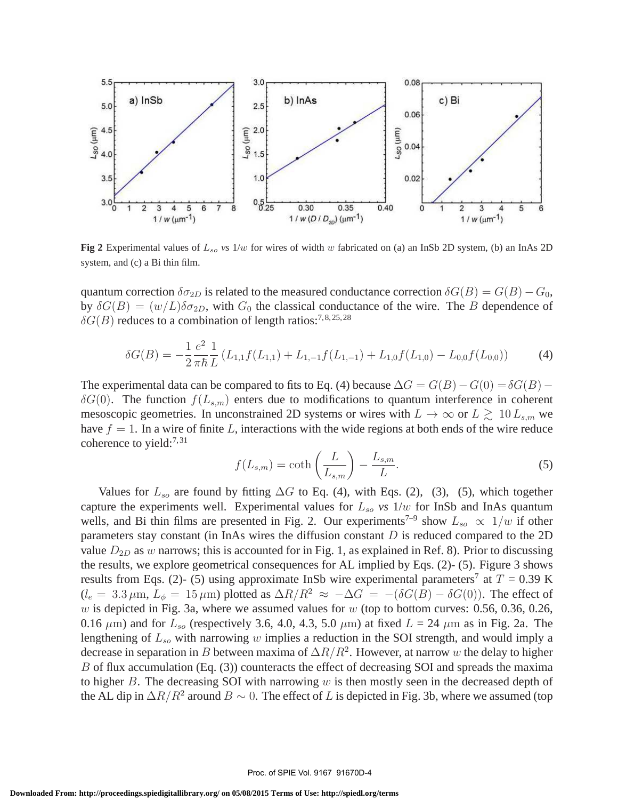

**Fig 2** Experimental values of  $L_{so}$  *vs* 1/w for wires of width w fabricated on (a) an InSb 2D system, (b) an InAs 2D system, and (c) a Bi thin film.

quantum correction  $\delta \sigma_{2D}$  is related to the measured conductance correction  $\delta G(B) = G(B) - G_0$ , by  $\delta G(B) = (w/L) \delta \sigma_{2D}$ , with  $G_0$  the classical conductance of the wire. The B dependence of  $\delta G(B)$  reduces to a combination of length ratios:<sup>7,8,25,28</sup>

$$
\delta G(B) = -\frac{1}{2} \frac{e^2}{\pi \hbar} \frac{1}{L} \left( L_{1,1} f(L_{1,1}) + L_{1,-1} f(L_{1,-1}) + L_{1,0} f(L_{1,0}) - L_{0,0} f(L_{0,0}) \right) \tag{4}
$$

The experimental data can be compared to fits to Eq. (4) because  $\Delta G = G(B) - G(0) = \delta G(B) \delta G(0)$ . The function  $f(L_{s,m})$  enters due to modifications to quantum interference in coherent mesoscopic geometries. In unconstrained 2D systems or wires with  $L \to \infty$  or  $L \ge 10 L_{s,m}$  we have  $f = 1$ . In a wire of finite L, interactions with the wide regions at both ends of the wire reduce coherence to yield: $^{7,31}$ 

$$
f(L_{s,m}) = \coth\left(\frac{L}{L_{s,m}}\right) - \frac{L_{s,m}}{L}.\tag{5}
$$

Values for  $L_{so}$  are found by fitting  $\Delta G$  to Eq. (4), with Eqs. (2), (3), (5), which together capture the experiments well. Experimental values for  $L_{so}$  *vs*  $1/w$  for InSb and InAs quantum wells, and Bi thin films are presented in Fig. 2. Our experiments<sup>7-9</sup> show  $L_{so} \propto 1/w$  if other parameters stay constant (in InAs wires the diffusion constant  $D$  is reduced compared to the 2D value  $D_{2D}$  as w narrows; this is accounted for in Fig. 1, as explained in Ref. 8). Prior to discussing the results, we explore geometrical consequences for AL implied by Eqs. (2)- (5). Figure 3 shows results from Eqs. (2)- (5) using approximate InSb wire experimental parameters<sup>7</sup> at  $T = 0.39$  K  $(l_e = 3.3 \,\mu\text{m}, L_\phi = 15 \,\mu\text{m})$  plotted as  $\Delta R/R^2 \approx -\Delta G = -(\delta G(\bar{B}) - \delta G(0))$ . The effect of w is depicted in Fig. 3a, where we assumed values for  $w$  (top to bottom curves: 0.56, 0.36, 0.26, 0.16  $\mu$ m) and for  $L_{so}$  (respectively 3.6, 4.0, 4.3, 5.0  $\mu$ m) at fixed  $L = 24 \mu$ m as in Fig. 2a. The lengthening of  $L_{so}$  with narrowing w implies a reduction in the SOI strength, and would imply a decrease in separation in B between maxima of  $\Delta R/R^2$ . However, at narrow w the delay to higher B of flux accumulation (Eq. (3)) counteracts the effect of decreasing SOI and spreads the maxima to higher  $B$ . The decreasing SOI with narrowing  $w$  is then mostly seen in the decreased depth of the AL dip in  $\Delta R/R^2$  around  $B \sim 0$ . The effect of L is depicted in Fig. 3b, where we assumed (top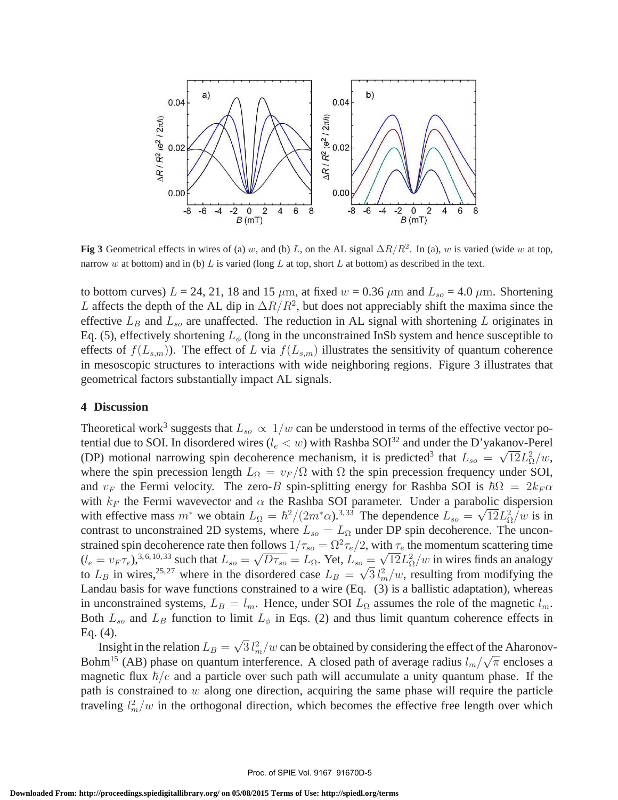

**Fig 3** Geometrical effects in wires of (a) w, and (b) L, on the AL signal  $\Delta R/R^2$ . In (a), w is varied (wide w at top, narrow w at bottom) and in (b) L is varied (long L at top, short L at bottom) as described in the text.

to bottom curves)  $L = 24, 21, 18$  and 15  $\mu$ m, at fixed  $w = 0.36 \mu$ m and  $L_{so} = 4.0 \mu$ m. Shortening L affects the depth of the AL dip in  $\Delta R/R^2$ , but does not appreciably shift the maxima since the effective  $L_B$  and  $L_{so}$  are unaffected. The reduction in AL signal with shortening L originates in Eq. (5), effectively shortening  $L_{\phi}$  (long in the unconstrained InSb system and hence susceptible to effects of  $f(L_{s,m})$ ). The effect of L via  $f(L_{s,m})$  illustrates the sensitivity of quantum coherence in mesoscopic structures to interactions with wide neighboring regions. Figure 3 illustrates that geometrical factors substantially impact AL signals.

#### **4 Discussion**

Theoretical work<sup>3</sup> suggests that  $L_{so} \propto 1/w$  can be understood in terms of the effective vector potential due to SOI. In disordered wires ( $l_e < w$ ) with Rashba SOI<sup>32</sup> and under the D'yakanov-Perel (DP) motional narrowing spin decoherence mechanism, it is predicted<sup>3</sup> that  $L_{so} = \sqrt{12}L_0^2/w$ , where the spin precession length  $L_{\Omega} = v_F / \Omega$  with  $\Omega$  the spin precession frequency under SOI, and  $v_F$  the Fermi velocity. The zero-B spin-splitting energy for Rashba SOI is  $\hbar\Omega = 2k_F\alpha$ with  $k_F$  the Fermi wavevector and  $\alpha$  the Rashba SOI parameter. Under a parabolic dispersion with effective mass  $m^*$  we obtain  $L_{\Omega} = \hbar^2/(2m^* \alpha)^{3,33}$  The dependence  $L_{so} = \sqrt{12} L_{\Omega}^2/w$  is in contrast to unconstrained 2D systems, where  $L_{so} = L_{\Omega}$  under DP spin decoherence. The unconstrained spin decoherence rate then follows  $1/\tau_{so} = \Omega^2 \tau_e/2$ , with  $\tau_e$  the momentum scattering time  $(l_e = v_F \tau_e)^{3,6,10,33}$  such that  $L_{so} = \sqrt{D \tau_{so}} = L_{\Omega}$ . Yet,  $L_{so} = \sqrt{12L_{\Omega}^2}/w$  in wires finds an analogy to  $L_B$  in wires,<sup>25, 27</sup> where in the disordered case  $L_B = \sqrt{3} l_m^2 / w$ , resulting from modifying the Landau basis for wave functions constrained to a wire (Eq. (3) is a ballistic adaptation), whereas in unconstrained systems,  $L_B = l_m$ . Hence, under SOI  $L_{\Omega}$  assumes the role of the magnetic  $l_m$ . Both  $L_{so}$  and  $L_B$  function to limit  $L_{\phi}$  in Eqs. (2) and thus limit quantum coherence effects in Eq. (4).

Insight in the relation  $L_B = \sqrt{3} l_m^2/w$  can be obtained by considering the effect of the Aharonov-Bohm<sup>15</sup> (AB) phase on quantum interference. A closed path of average radius  $l_m/\sqrt{\pi}$  encloses a magnetic flux  $\hbar/e$  and a particle over such path will accumulate a unity quantum phase. If the path is constrained to  $w$  along one direction, acquiring the same phase will require the particle traveling  $l_m^2/w$  in the orthogonal direction, which becomes the effective free length over which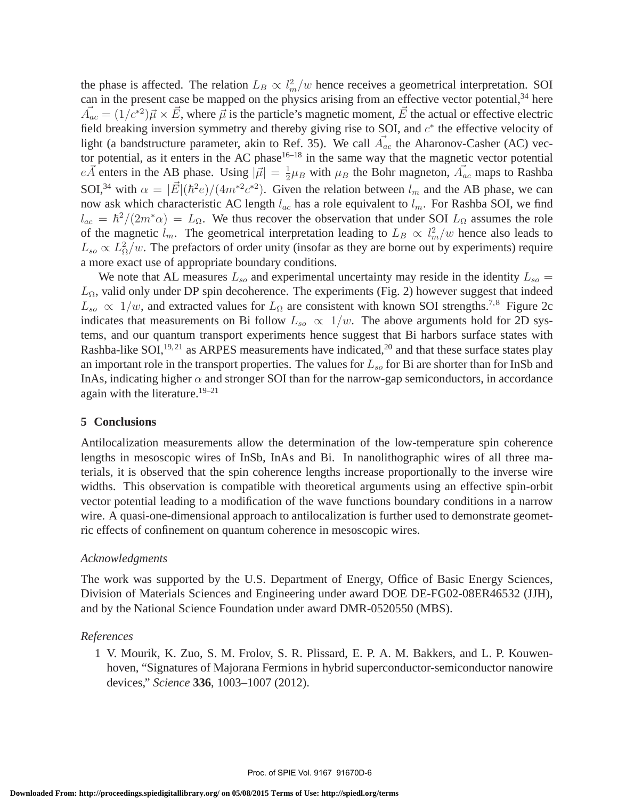the phase is affected. The relation  $L_B \propto l_m^2/w$  hence receives a geometrical interpretation. SOI can in the present case be mapped on the physics arising from an effective vector potential,<sup>34</sup> here  $\vec{A}_{ac} = (1/c^{*2})\vec{\mu} \times \vec{E}$ , where  $\vec{\mu}$  is the particle's magnetic moment,  $\vec{E}$  the actual or effective electric field breaking inversion symmetry and thereby giving rise to SOI, and  $c^*$  the effective velocity of light (a bandstructure parameter, akin to Ref. 35). We call  $\vec{A}_{ac}$  the Aharonov-Casher (AC) vector potential, as it enters in the AC phase $16-18$  in the same way that the magnetic vector potential  $e\vec{A}$  enters in the AB phase. Using  $|\vec{\mu}| = \frac{1}{2}$  $\frac{1}{2}\mu_B$  with  $\mu_B$  the Bohr magneton,  $\vec{A}_{ac}$  maps to Rashba SOI,<sup>34</sup> with  $\alpha = |\vec{E}|(\hbar^2 e)/(4m^*2c^*2)$ . Given the relation between  $l_m$  and the AB phase, we can now ask which characteristic AC length  $l_{ac}$  has a role equivalent to  $l_m$ . For Rashba SOI, we find  $l_{ac} = \hbar^2/(2m^*\alpha) = L_{\Omega}$ . We thus recover the observation that under SOI  $L_{\Omega}$  assumes the role of the magnetic  $l_m$ . The geometrical interpretation leading to  $L_B \propto l_m^2/w$  hence also leads to  $L_{so} \propto L_{\Omega}^2/w$ . The prefactors of order unity (insofar as they are borne out by experiments) require a more exact use of appropriate boundary conditions.

We note that AL measures  $L_{so}$  and experimental uncertainty may reside in the identity  $L_{so}$  =  $L_{\Omega}$ , valid only under DP spin decoherence. The experiments (Fig. 2) however suggest that indeed  $L_{so} \propto 1/w$ , and extracted values for  $L_{\Omega}$  are consistent with known SOI strengths.<sup>7,8</sup> Figure 2c indicates that measurements on Bi follow  $L_{so} \propto 1/w$ . The above arguments hold for 2D systems, and our quantum transport experiments hence suggest that Bi harbors surface states with Rashba-like SOI,  $^{19,21}$  as ARPES measurements have indicated,  $^{20}$  and that these surface states play an important role in the transport properties. The values for  $L_{so}$  for Bi are shorter than for InSb and InAs, indicating higher  $\alpha$  and stronger SOI than for the narrow-gap semiconductors, in accordance again with the literature.<sup>19–21</sup>

#### **5 Conclusions**

Antilocalization measurements allow the determination of the low-temperature spin coherence lengths in mesoscopic wires of InSb, InAs and Bi. In nanolithographic wires of all three materials, it is observed that the spin coherence lengths increase proportionally to the inverse wire widths. This observation is compatible with theoretical arguments using an effective spin-orbit vector potential leading to a modification of the wave functions boundary conditions in a narrow wire. A quasi-one-dimensional approach to antilocalization is further used to demonstrate geometric effects of confinement on quantum coherence in mesoscopic wires.

#### *Acknowledgments*

The work was supported by the U.S. Department of Energy, Office of Basic Energy Sciences, Division of Materials Sciences and Engineering under award DOE DE-FG02-08ER46532 (JJH), and by the National Science Foundation under award DMR-0520550 (MBS).

#### *References*

1 V. Mourik, K. Zuo, S. M. Frolov, S. R. Plissard, E. P. A. M. Bakkers, and L. P. Kouwenhoven, "Signatures of Majorana Fermions in hybrid superconductor-semiconductor nanowire devices," *Science* **336**, 1003–1007 (2012).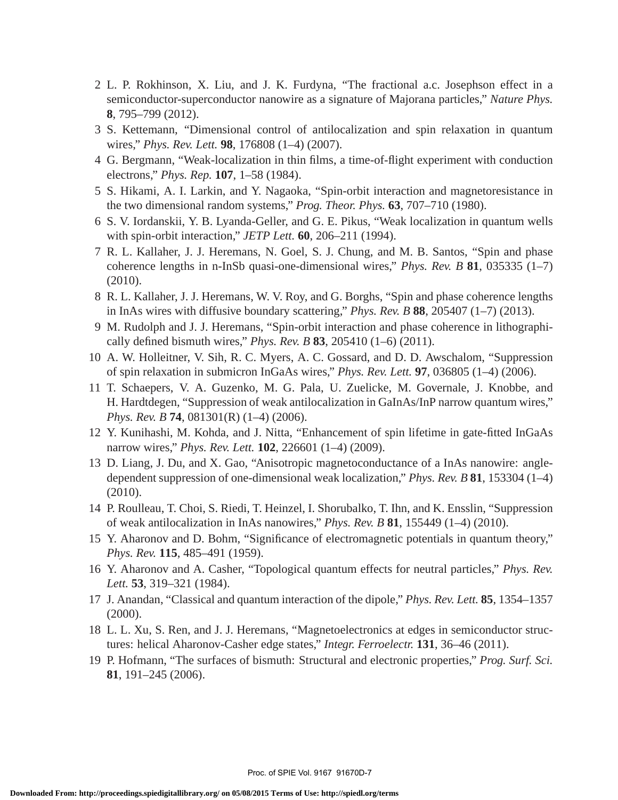- 2 L. P. Rokhinson, X. Liu, and J. K. Furdyna, "The fractional a.c. Josephson effect in a semiconductor-superconductor nanowire as a signature of Majorana particles," *Nature Phys.* **8**, 795–799 (2012).
- 3 S. Kettemann, "Dimensional control of antilocalization and spin relaxation in quantum wires," *Phys. Rev. Lett.* **98**, 176808 (1–4) (2007).
- 4 G. Bergmann, "Weak-localization in thin films, a time-of-flight experiment with conduction electrons," *Phys. Rep.* **107**, 1–58 (1984).
- 5 S. Hikami, A. I. Larkin, and Y. Nagaoka, "Spin-orbit interaction and magnetoresistance in the two dimensional random systems," *Prog. Theor. Phys.* **63**, 707–710 (1980).
- 6 S. V. Iordanskii, Y. B. Lyanda-Geller, and G. E. Pikus, "Weak localization in quantum wells with spin-orbit interaction," *JETP Lett.* **60**, 206–211 (1994).
- 7 R. L. Kallaher, J. J. Heremans, N. Goel, S. J. Chung, and M. B. Santos, "Spin and phase coherence lengths in n-InSb quasi-one-dimensional wires," *Phys. Rev. B* **81**, 035335 (1–7) (2010).
- 8 R. L. Kallaher, J. J. Heremans, W. V. Roy, and G. Borghs, "Spin and phase coherence lengths in InAs wires with diffusive boundary scattering," *Phys. Rev. B* **88**, 205407 (1–7) (2013).
- 9 M. Rudolph and J. J. Heremans, "Spin-orbit interaction and phase coherence in lithographically defined bismuth wires," *Phys. Rev. B* **83**, 205410 (1–6) (2011).
- 10 A. W. Holleitner, V. Sih, R. C. Myers, A. C. Gossard, and D. D. Awschalom, "Suppression of spin relaxation in submicron InGaAs wires," *Phys. Rev. Lett.* **97**, 036805 (1–4) (2006).
- 11 T. Schaepers, V. A. Guzenko, M. G. Pala, U. Zuelicke, M. Governale, J. Knobbe, and H. Hardtdegen, "Suppression of weak antilocalization in GaInAs/InP narrow quantum wires," *Phys. Rev. B* **74**, 081301(R) (1–4) (2006).
- 12 Y. Kunihashi, M. Kohda, and J. Nitta, "Enhancement of spin lifetime in gate-fitted InGaAs narrow wires," *Phys. Rev. Lett.* **102**, 226601 (1–4) (2009).
- 13 D. Liang, J. Du, and X. Gao, "Anisotropic magnetoconductance of a InAs nanowire: angledependent suppression of one-dimensional weak localization," *Phys. Rev. B* **81**, 153304 (1–4) (2010).
- 14 P. Roulleau, T. Choi, S. Riedi, T. Heinzel, I. Shorubalko, T. Ihn, and K. Ensslin, "Suppression of weak antilocalization in InAs nanowires," *Phys. Rev. B* **81**, 155449 (1–4) (2010).
- 15 Y. Aharonov and D. Bohm, "Significance of electromagnetic potentials in quantum theory," *Phys. Rev.* **115**, 485–491 (1959).
- 16 Y. Aharonov and A. Casher, "Topological quantum effects for neutral particles," *Phys. Rev. Lett.* **53**, 319–321 (1984).
- 17 J. Anandan, "Classical and quantum interaction of the dipole," *Phys. Rev. Lett.* **85**, 1354–1357 (2000).
- 18 L. L. Xu, S. Ren, and J. J. Heremans, "Magnetoelectronics at edges in semiconductor structures: helical Aharonov-Casher edge states," *Integr. Ferroelectr.* **131**, 36–46 (2011).
- 19 P. Hofmann, "The surfaces of bismuth: Structural and electronic properties," *Prog. Surf. Sci.* **81**, 191–245 (2006).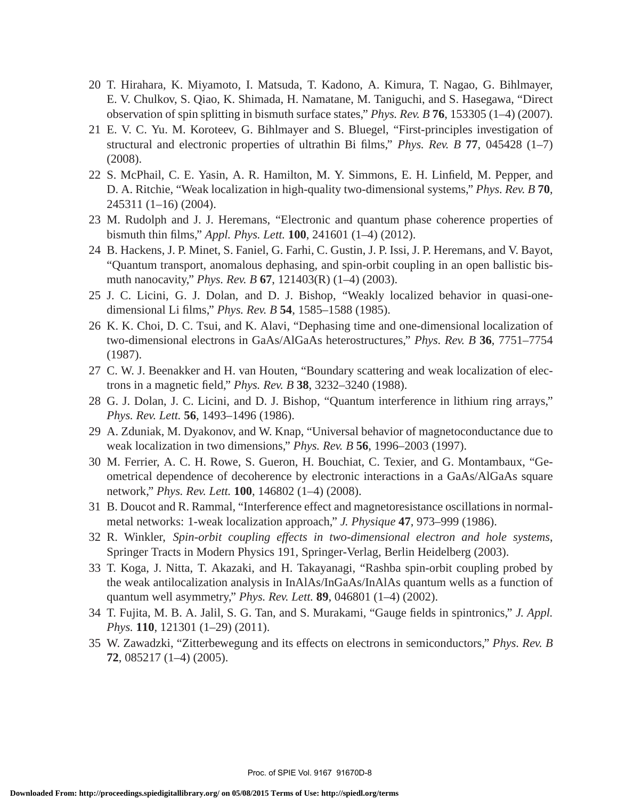- 20 T. Hirahara, K. Miyamoto, I. Matsuda, T. Kadono, A. Kimura, T. Nagao, G. Bihlmayer, E. V. Chulkov, S. Qiao, K. Shimada, H. Namatane, M. Taniguchi, and S. Hasegawa, "Direct observation of spin splitting in bismuth surface states," *Phys. Rev. B* **76**, 153305 (1–4) (2007).
- 21 E. V. C. Yu. M. Koroteev, G. Bihlmayer and S. Bluegel, "First-principles investigation of structural and electronic properties of ultrathin Bi films," *Phys. Rev. B* **77**, 045428 (1–7) (2008).
- 22 S. McPhail, C. E. Yasin, A. R. Hamilton, M. Y. Simmons, E. H. Linfield, M. Pepper, and D. A. Ritchie, "Weak localization in high-quality two-dimensional systems," *Phys. Rev. B* **70**, 245311 (1–16) (2004).
- 23 M. Rudolph and J. J. Heremans, "Electronic and quantum phase coherence properties of bismuth thin films," *Appl. Phys. Lett.* **100**, 241601 (1–4) (2012).
- 24 B. Hackens, J. P. Minet, S. Faniel, G. Farhi, C. Gustin, J. P. Issi, J. P. Heremans, and V. Bayot, "Quantum transport, anomalous dephasing, and spin-orbit coupling in an open ballistic bismuth nanocavity," *Phys. Rev. B* **67**, 121403(R) (1–4) (2003).
- 25 J. C. Licini, G. J. Dolan, and D. J. Bishop, "Weakly localized behavior in quasi-onedimensional Li films," *Phys. Rev. B* **54**, 1585–1588 (1985).
- 26 K. K. Choi, D. C. Tsui, and K. Alavi, "Dephasing time and one-dimensional localization of two-dimensional electrons in GaAs/AlGaAs heterostructures," *Phys. Rev. B* **36**, 7751–7754 (1987).
- 27 C. W. J. Beenakker and H. van Houten, "Boundary scattering and weak localization of electrons in a magnetic field," *Phys. Rev. B* **38**, 3232–3240 (1988).
- 28 G. J. Dolan, J. C. Licini, and D. J. Bishop, "Quantum interference in lithium ring arrays," *Phys. Rev. Lett.* **56**, 1493–1496 (1986).
- 29 A. Zduniak, M. Dyakonov, and W. Knap, "Universal behavior of magnetoconductance due to weak localization in two dimensions," *Phys. Rev. B* **56**, 1996–2003 (1997).
- 30 M. Ferrier, A. C. H. Rowe, S. Gueron, H. Bouchiat, C. Texier, and G. Montambaux, "Geometrical dependence of decoherence by electronic interactions in a GaAs/AlGaAs square network," *Phys. Rev. Lett.* **100**, 146802 (1–4) (2008).
- 31 B. Doucot and R. Rammal, "Interference effect and magnetoresistance oscillations in normalmetal networks: 1-weak localization approach," *J. Physique* **47**, 973–999 (1986).
- 32 R. Winkler, *Spin-orbit coupling effects in two-dimensional electron and hole systems*, Springer Tracts in Modern Physics 191, Springer-Verlag, Berlin Heidelberg (2003).
- 33 T. Koga, J. Nitta, T. Akazaki, and H. Takayanagi, "Rashba spin-orbit coupling probed by the weak antilocalization analysis in InAlAs/InGaAs/InAlAs quantum wells as a function of quantum well asymmetry," *Phys. Rev. Lett.* **89**, 046801 (1–4) (2002).
- 34 T. Fujita, M. B. A. Jalil, S. G. Tan, and S. Murakami, "Gauge fields in spintronics," *J. Appl. Phys.* **110**, 121301 (1–29) (2011).
- 35 W. Zawadzki, "Zitterbewegung and its effects on electrons in semiconductors," *Phys. Rev. B* **72**, 085217 (1–4) (2005).